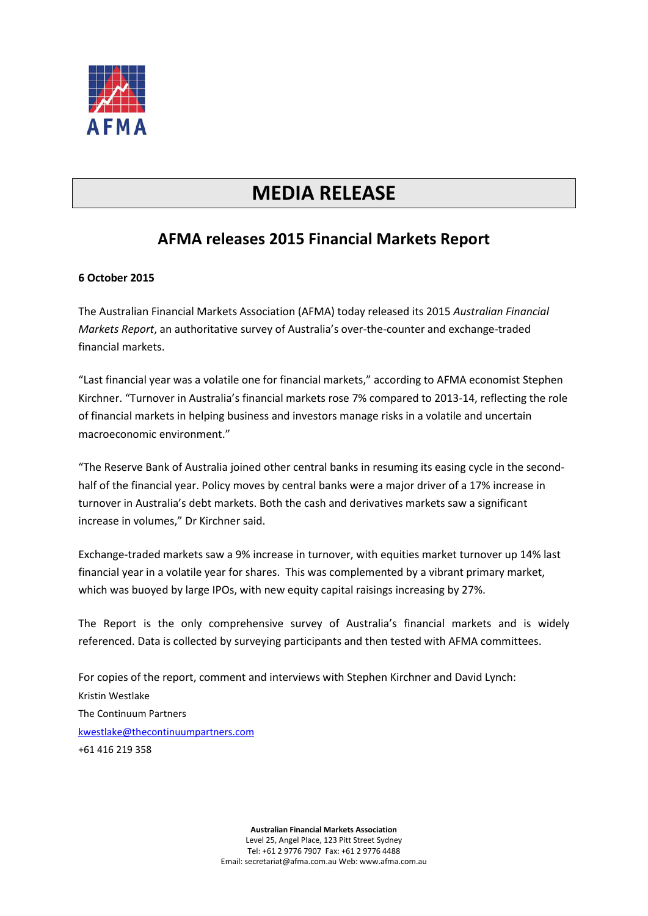

## **MEDIA RELEASE**

## **AFMA releases 2015 Financial Markets Report**

## **6 October 2015**

The Australian Financial Markets Association (AFMA) today released its 2015 *Australian Financial Markets Report*, an authoritative survey of Australia's over-the-counter and exchange-traded financial markets.

"Last financial year was a volatile one for financial markets," according to AFMA economist Stephen Kirchner. "Turnover in Australia's financial markets rose 7% compared to 2013-14, reflecting the role of financial markets in helping business and investors manage risks in a volatile and uncertain macroeconomic environment."

"The Reserve Bank of Australia joined other central banks in resuming its easing cycle in the secondhalf of the financial year. Policy moves by central banks were a major driver of a 17% increase in turnover in Australia's debt markets. Both the cash and derivatives markets saw a significant increase in volumes," Dr Kirchner said.

Exchange-traded markets saw a 9% increase in turnover, with equities market turnover up 14% last financial year in a volatile year for shares. This was complemented by a vibrant primary market, which was buoyed by large IPOs, with new equity capital raisings increasing by 27%.

The Report is the only comprehensive survey of Australia's financial markets and is widely referenced. Data is collected by surveying participants and then tested with AFMA committees.

For copies of the report, comment and interviews with Stephen Kirchner and David Lynch: Kristin Westlake The Continuum Partners [kwestlake@thecontinuumpartners.com](mailto:kwestlake@thecontinuumpartners.com) +61 416 219 358